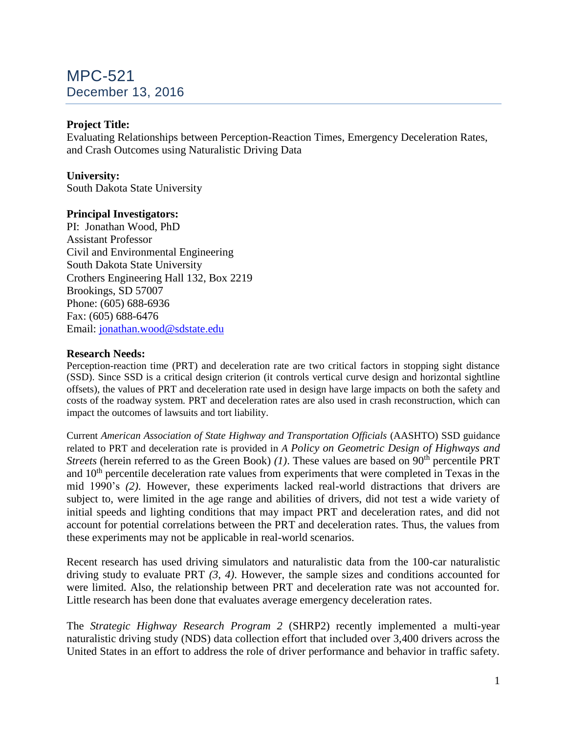# MPC-521 December 13, 2016

# **Project Title:**

Evaluating Relationships between Perception-Reaction Times, Emergency Deceleration Rates, and Crash Outcomes using Naturalistic Driving Data

# **University:**

South Dakota State University

## **Principal Investigators:**

PI: Jonathan Wood, PhD Assistant Professor Civil and Environmental Engineering South Dakota State University Crothers Engineering Hall 132, Box 2219 Brookings, SD 57007 Phone: (605) 688-6936 Fax: (605) 688-6476 Email: [jonathan.wood@sdstate.edu](mailto:jonathan.wood@sdstate.edu)

#### **Research Needs:**

Perception-reaction time (PRT) and deceleration rate are two critical factors in stopping sight distance (SSD). Since SSD is a critical design criterion (it controls vertical curve design and horizontal sightline offsets), the values of PRT and deceleration rate used in design have large impacts on both the safety and costs of the roadway system. PRT and deceleration rates are also used in crash reconstruction, which can impact the outcomes of lawsuits and tort liability.

Current *American Association of State Highway and Transportation Officials* (AASHTO) SSD guidance related to PRT and deceleration rate is provided in *A Policy on Geometric Design of Highways and Streets* (herein referred to as the Green Book) *(1)*. These values are based on 90<sup>th</sup> percentile PRT and 10<sup>th</sup> percentile deceleration rate values from experiments that were completed in Texas in the mid 1990's *(2)*. However, these experiments lacked real-world distractions that drivers are subject to, were limited in the age range and abilities of drivers, did not test a wide variety of initial speeds and lighting conditions that may impact PRT and deceleration rates, and did not account for potential correlations between the PRT and deceleration rates. Thus, the values from these experiments may not be applicable in real-world scenarios.

Recent research has used driving simulators and naturalistic data from the 100-car naturalistic driving study to evaluate PRT *(3, 4)*. However, the sample sizes and conditions accounted for were limited. Also, the relationship between PRT and deceleration rate was not accounted for. Little research has been done that evaluates average emergency deceleration rates.

The *Strategic Highway Research Program 2* (SHRP2) recently implemented a multi-year naturalistic driving study (NDS) data collection effort that included over 3,400 drivers across the United States in an effort to address the role of driver performance and behavior in traffic safety.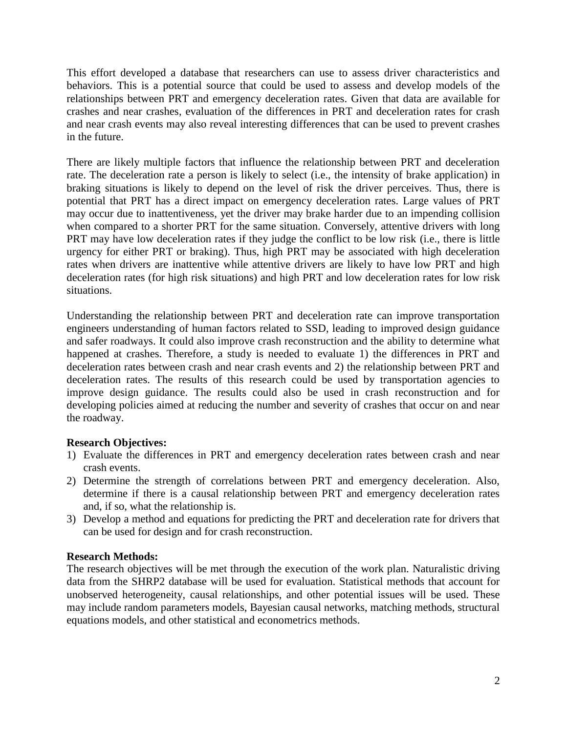This effort developed a database that researchers can use to assess driver characteristics and behaviors. This is a potential source that could be used to assess and develop models of the relationships between PRT and emergency deceleration rates. Given that data are available for crashes and near crashes, evaluation of the differences in PRT and deceleration rates for crash and near crash events may also reveal interesting differences that can be used to prevent crashes in the future.

There are likely multiple factors that influence the relationship between PRT and deceleration rate. The deceleration rate a person is likely to select (i.e., the intensity of brake application) in braking situations is likely to depend on the level of risk the driver perceives. Thus, there is potential that PRT has a direct impact on emergency deceleration rates. Large values of PRT may occur due to inattentiveness, yet the driver may brake harder due to an impending collision when compared to a shorter PRT for the same situation. Conversely, attentive drivers with long PRT may have low deceleration rates if they judge the conflict to be low risk (i.e., there is little urgency for either PRT or braking). Thus, high PRT may be associated with high deceleration rates when drivers are inattentive while attentive drivers are likely to have low PRT and high deceleration rates (for high risk situations) and high PRT and low deceleration rates for low risk situations.

Understanding the relationship between PRT and deceleration rate can improve transportation engineers understanding of human factors related to SSD, leading to improved design guidance and safer roadways. It could also improve crash reconstruction and the ability to determine what happened at crashes. Therefore, a study is needed to evaluate 1) the differences in PRT and deceleration rates between crash and near crash events and 2) the relationship between PRT and deceleration rates. The results of this research could be used by transportation agencies to improve design guidance. The results could also be used in crash reconstruction and for developing policies aimed at reducing the number and severity of crashes that occur on and near the roadway.

# **Research Objectives:**

- 1) Evaluate the differences in PRT and emergency deceleration rates between crash and near crash events.
- 2) Determine the strength of correlations between PRT and emergency deceleration. Also, determine if there is a causal relationship between PRT and emergency deceleration rates and, if so, what the relationship is.
- 3) Develop a method and equations for predicting the PRT and deceleration rate for drivers that can be used for design and for crash reconstruction.

#### **Research Methods:**

The research objectives will be met through the execution of the work plan. Naturalistic driving data from the SHRP2 database will be used for evaluation. Statistical methods that account for unobserved heterogeneity, causal relationships, and other potential issues will be used. These may include random parameters models, Bayesian causal networks, matching methods, structural equations models, and other statistical and econometrics methods.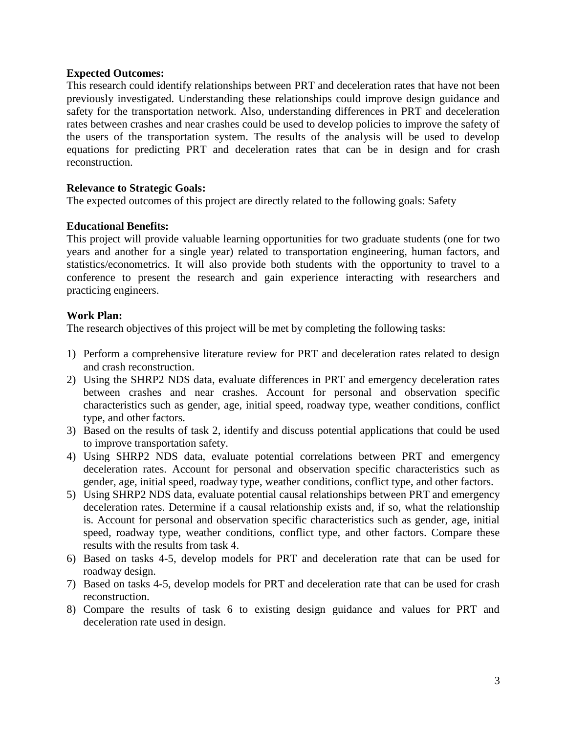#### **Expected Outcomes:**

This research could identify relationships between PRT and deceleration rates that have not been previously investigated. Understanding these relationships could improve design guidance and safety for the transportation network. Also, understanding differences in PRT and deceleration rates between crashes and near crashes could be used to develop policies to improve the safety of the users of the transportation system. The results of the analysis will be used to develop equations for predicting PRT and deceleration rates that can be in design and for crash reconstruction.

#### **Relevance to Strategic Goals:**

The expected outcomes of this project are directly related to the following goals: Safety

#### **Educational Benefits:**

This project will provide valuable learning opportunities for two graduate students (one for two years and another for a single year) related to transportation engineering, human factors, and statistics/econometrics. It will also provide both students with the opportunity to travel to a conference to present the research and gain experience interacting with researchers and practicing engineers.

#### **Work Plan:**

The research objectives of this project will be met by completing the following tasks:

- 1) Perform a comprehensive literature review for PRT and deceleration rates related to design and crash reconstruction.
- 2) Using the SHRP2 NDS data, evaluate differences in PRT and emergency deceleration rates between crashes and near crashes. Account for personal and observation specific characteristics such as gender, age, initial speed, roadway type, weather conditions, conflict type, and other factors.
- 3) Based on the results of task 2, identify and discuss potential applications that could be used to improve transportation safety.
- 4) Using SHRP2 NDS data, evaluate potential correlations between PRT and emergency deceleration rates. Account for personal and observation specific characteristics such as gender, age, initial speed, roadway type, weather conditions, conflict type, and other factors.
- 5) Using SHRP2 NDS data, evaluate potential causal relationships between PRT and emergency deceleration rates. Determine if a causal relationship exists and, if so, what the relationship is. Account for personal and observation specific characteristics such as gender, age, initial speed, roadway type, weather conditions, conflict type, and other factors. Compare these results with the results from task 4.
- 6) Based on tasks 4-5, develop models for PRT and deceleration rate that can be used for roadway design.
- 7) Based on tasks 4-5, develop models for PRT and deceleration rate that can be used for crash reconstruction.
- 8) Compare the results of task 6 to existing design guidance and values for PRT and deceleration rate used in design.